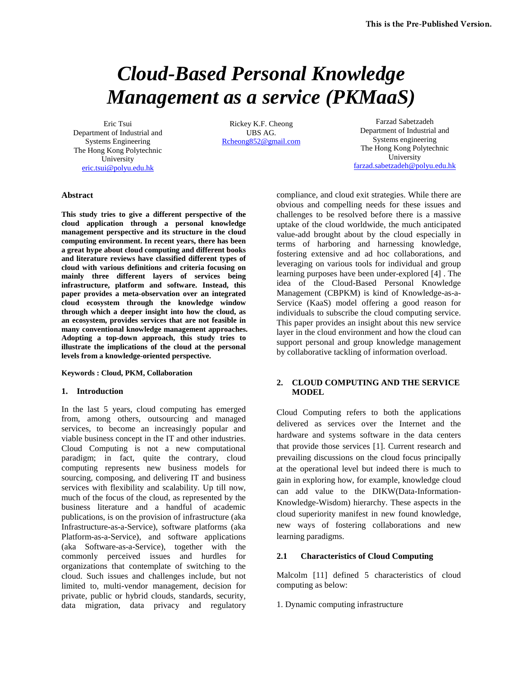# *Cloud-Based Personal Knowledge Management as a service (PKMaaS)*

Eric Tsui Department of Industrial and Systems Engineering The Hong Kong Polytechnic University [eric.tsui@polyu.edu.hk](mailto:Eric.tsui@polyu.edu.hk)

Rickey K.F. Cheong UBS AG. [Rcheong852@gmail.com](mailto:Rcheong852@gmail.com)

Farzad Sabetzadeh Department of Industrial and Systems engineering The Hong Kong Polytechnic University [farzad.sabetzadeh@polyu.edu.hk](mailto:farzad.sabetzadeh@polyu.edu.hk)

## **Abstract**

**This study tries to give a different perspective of the cloud application through a personal knowledge management perspective and its structure in the cloud computing environment. In recent years, there has been a great hype about cloud computing and different books and literature reviews have classified different types of cloud with various definitions and criteria focusing on mainly three different layers of services being infrastructure, platform and software. Instead, this paper provides a meta-observation over an integrated cloud ecosystem through the knowledge window through which a deeper insight into how the cloud, as an ecosystem, provides services that are not feasible in many conventional knowledge management approaches. Adopting a top-down approach, this study tries to illustrate the implications of the cloud at the personal levels from a knowledge-oriented perspective.**

#### **Keywords : Cloud, PKM, Collaboration**

#### **1. Introduction**

In the last 5 years, cloud computing has emerged from, among others, outsourcing and managed services, to become an increasingly popular and viable business concept in the IT and other industries. Cloud Computing is not a new computational paradigm; in fact, quite the contrary, cloud computing represents new business models for sourcing, composing, and delivering IT and business services with flexibility and scalability. Up till now, much of the focus of the cloud, as represented by the business literature and a handful of academic publications, is on the provision of infrastructure (aka Infrastructure-as-a-Service), software platforms (aka Platform-as-a-Service), and software applications (aka Software-as-a-Service), together with the commonly perceived issues and hurdles for organizations that contemplate of switching to the cloud. Such issues and challenges include, but not limited to, multi-vendor management, decision for private, public or hybrid clouds, standards, security, data migration, data privacy and regulatory compliance, and cloud exit strategies. While there are obvious and compelling needs for these issues and challenges to be resolved before there is a massive uptake of the cloud worldwide, the much anticipated value-add brought about by the cloud especially in terms of harboring and harnessing knowledge, fostering extensive and ad hoc collaborations, and leveraging on various tools for individual and group learning purposes have been under-explored [4] . The idea of the Cloud-Based Personal Knowledge Management (CBPKM) is kind of Knowledge-as-a-Service (KaaS) model offering a good reason for individuals to subscribe the cloud computing service. This paper provides an insight about this new service layer in the cloud environment and how the cloud can support personal and group knowledge management by collaborative tackling of information overload.

## **2. CLOUD COMPUTING AND THE SERVICE MODEL**

Cloud Computing refers to both the applications delivered as services over the Internet and the hardware and systems software in the data centers that provide those services [1]. Current research and prevailing discussions on the cloud focus principally at the operational level but indeed there is much to gain in exploring how, for example, knowledge cloud can add value to the DIKW(Data-Information-Knowledge-Wisdom) hierarchy. These aspects in the cloud superiority manifest in new found knowledge, new ways of fostering collaborations and new learning paradigms.

### **2.1 Characteristics of Cloud Computing**

Malcolm [11] defined 5 characteristics of cloud computing as below:

1. Dynamic computing infrastructure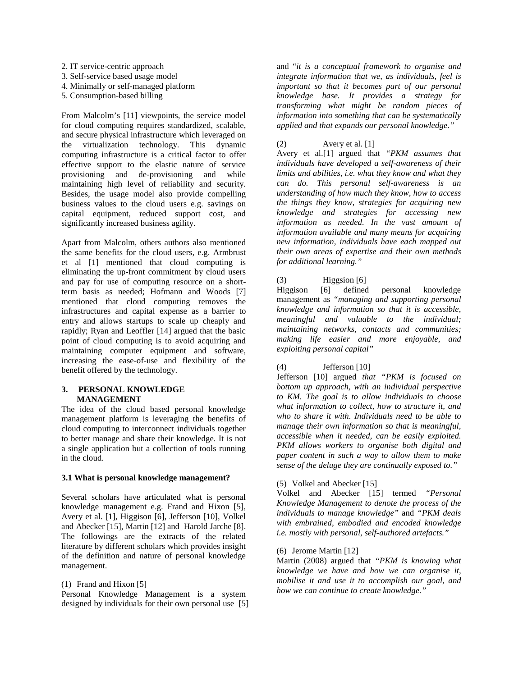- 2. IT service-centric approach
- 3. Self-service based usage model
- 4. Minimally or self-managed platform
- 5. Consumption-based billing

From Malcolm's [11] viewpoints, the service model for cloud computing requires standardized, scalable, and secure physical infrastructure which leveraged on the virtualization technology. This dynamic computing infrastructure is a critical factor to offer effective support to the elastic nature of service provisioning and de-provisioning and while maintaining high level of reliability and security. Besides, the usage model also provide compelling business values to the cloud users e.g. savings on capital equipment, reduced support cost, and significantly increased business agility.

Apart from Malcolm, others authors also mentioned the same benefits for the cloud users, e.g. Armbrust et al [1] mentioned that cloud computing is eliminating the up-front commitment by cloud users and pay for use of computing resource on a shortterm basis as needed; Hofmann and Woods [7] mentioned that cloud computing removes the infrastructures and capital expense as a barrier to entry and allows startups to scale up cheaply and rapidly; Ryan and Leoffler [14] argued that the basic point of cloud computing is to avoid acquiring and maintaining computer equipment and software, increasing the ease-of-use and flexibility of the benefit offered by the technology.

## **3. PERSONAL KNOWLEDGE MANAGEMENT**

The idea of the cloud based personal knowledge management platform is leveraging the benefits of cloud computing to interconnect individuals together to better manage and share their knowledge. It is not a single application but a collection of tools running in the cloud.

# **3.1 What is personal knowledge management?**

Several scholars have articulated what is personal knowledge management e.g. Frand and Hixon [5], Avery et al. [1], Higgison [6], Jefferson [10], Volkel and Abecker [15], Martin [12] and Harold Jarche [8]. The followings are the extracts of the related literature by different scholars which provides insight of the definition and nature of personal knowledge management.

## (1) Frand and Hixon [5]

Personal Knowledge Management is a system designed by individuals for their own personal use [5]

and "*it is a conceptual framework to organise and integrate information that we, as individuals, feel is important so that it becomes part of our personal knowledge base. It provides a strategy for transforming what might be random pieces of information into something that can be systematically applied and that expands our personal knowledge."*

# (2) Avery et al. [1]

Avery et al.[1] argued that *"PKM assumes that individuals have developed a self-awareness of their limits and abilities, i.e. what they know and what they can do. This personal self-awareness is an understanding of how much they know, how to access the things they know, strategies for acquiring new knowledge and strategies for accessing new information as needed. In the vast amount of information available and many means for acquiring new information, individuals have each mapped out their own areas of expertise and their own methods for additional learning."* 

# (3) Higgsion [6]

Higgison [6] defined personal knowledge management as *"managing and supporting personal knowledge and information so that it is accessible, meaningful and valuable to the individual; maintaining networks, contacts and communities; making life easier and more enjoyable, and exploiting personal capital"*

## (4) Jefferson [10]

Jefferson [10] argued *that "PKM is focused on bottom up approach, with an individual perspective to KM. The goal is to allow individuals to choose what information to collect, how to structure it, and who to share it with. Individuals need to be able to manage their own information so that is meaningful, accessible when it needed, can be easily exploited. PKM allows workers to organise both digital and paper content in such a way to allow them to make sense of the deluge they are continually exposed to."* 

# (5) Volkel and Abecker [15]

Volkel and Abecker [15] termed *"Personal Knowledge Management to denote the process of the individuals to manage knowledge"* and *"PKM deals with embrained, embodied and encoded knowledge i.e. mostly with personal, self-authored artefacts."* 

# (6) Jerome Martin [12]

Martin (2008) argued that *"PKM is knowing what knowledge we have and how we can organise it, mobilise it and use it to accomplish our goal, and how we can continue to create knowledge."*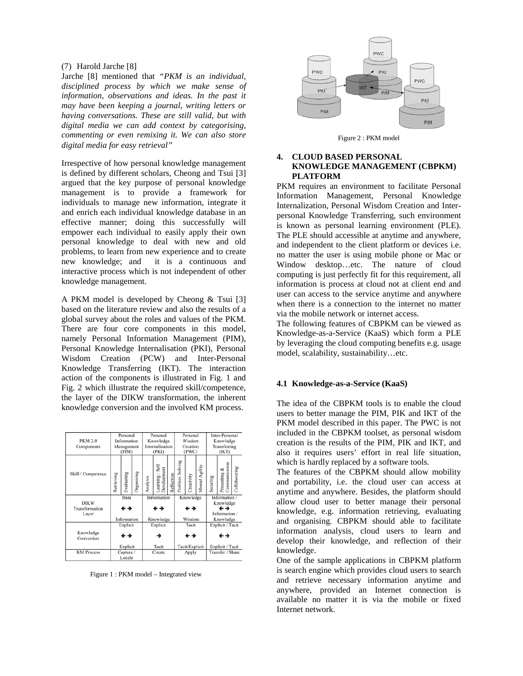### (7) Harold Jarche [8]

Jarche [8] mentioned that *"PKM is an individual, disciplined process by which we make sense of information, observations and ideas. In the past it may have been keeping a journal, writing letters or having conversations. These are still valid, but with digital media we can add context by categorising, commenting or even remixing it. We can also store digital media for easy retrieval"*

Irrespective of how personal knowledge management is defined by different scholars, Cheong and Tsui [3] argued that the key purpose of personal knowledge management is to provide a framework for individuals to manage new information, integrate it and enrich each individual knowledge database in an effective manner; doing this successfully will empower each individual to easily apply their own personal knowledge to deal with new and old problems, to learn from new experience and to create new knowledge; and it is a continuous and interactive process which is not independent of other knowledge management.

A PKM model is developed by Cheong & Tsui [3] based on the literature review and also the results of a global survey about the roles and values of the PKM. There are four core components in this model, namely Personal Information Management (PIM), Personal Knowledge Internalisation (PKI), Personal Wisdom Creation (PCW) and Inter-Personal Knowledge Transferring (IKT). The interaction action of the components is illustrated in Fig. 1 and Fig. 2 which illustrate the required skill/competence, the layer of the DIKW transformation, the inherent knowledge conversion and the involved KM process.

| <b>PKM 2.0</b><br>Components           | Personal<br>Information<br>Management<br>(PIM) |            |            | Personal<br>Knowledge<br>Internalisation<br>(PKI) |                                          |            | Personal<br>Wisdom<br>Creation<br>(PWC) |                  |                                            | Inter-Personal<br>Knowledge<br>Transferring<br>(IKT)           |                               |               |
|----------------------------------------|------------------------------------------------|------------|------------|---------------------------------------------------|------------------------------------------|------------|-----------------------------------------|------------------|--------------------------------------------|----------------------------------------------------------------|-------------------------------|---------------|
| Skill / Competence                     | Retrieving                                     | Evaluating | Organising | Analysis                                          | Self<br><b>Development</b><br>Learning / | Reflection | Problem Solving                         | Creativity       | Agility<br>Mental                          | Securing                                                       | Communication<br>Presenting & | Collaborating |
| <b>DIKW</b><br>Transformation<br>Laver | Data<br>←→<br>Information                      |            |            | Information<br>←→<br>Knowledge                    |                                          |            | Knowledge<br>←→<br>Wisdom               |                  |                                            | Information /<br>Knowledge<br>←→<br>Information /<br>Knowledge |                               |               |
| Knowledge<br>Conversion                | Explicit<br>←→<br>Explicit                     |            |            | Explicit<br>Tacit                                 |                                          |            | Tacit<br>←→<br>Tacit/Explicit           |                  | Explicit / Tacit<br>←→<br>Explicit / Tacit |                                                                |                               |               |
| <b>KM Process</b>                      | Capture /<br>Locate                            |            |            | Create                                            |                                          | Apply      |                                         | Transfer / Share |                                            |                                                                |                               |               |

Figure 1 : PKM model – Integrated view



Figure 2 : PKM model

## **4. CLOUD BASED PERSONAL KNOWLEDGE MANAGEMENT (CBPKM) PLATFORM**

PKM requires an environment to facilitate Personal Information Management, Personal Knowledge Internalization, Personal Wisdom Creation and Interpersonal Knowledge Transferring, such environment is known as personal learning environment (PLE). The PLE should accessible at anytime and anywhere, and independent to the client platform or devices i.e. no matter the user is using mobile phone or Mac or Window desktop…etc. The nature of cloud computing is just perfectly fit for this requirement, all information is process at cloud not at client end and user can access to the service anytime and anywhere when there is a connection to the internet no matter via the mobile network or internet access.

The following features of CBPKM can be viewed as Knowledge-as-a-Service (KaaS) which form a PLE by leveraging the cloud computing benefits e.g. usage model, scalability, sustainability…etc.

## **4.1 Knowledge-as-a-Service (KaaS)**

The idea of the CBPKM tools is to enable the cloud users to better manage the PIM, PIK and IKT of the PKM model described in this paper. The PWC is not included in the CBPKM toolset, as personal wisdom creation is the results of the PIM, PIK and IKT, and also it requires users' effort in real life situation, which is hardly replaced by a software tools.

The features of the CBPKM should allow mobility and portability, i.e. the cloud user can access at anytime and anywhere. Besides, the platform should allow cloud user to better manage their personal knowledge, e.g. information retrieving, evaluating and organising. CBPKM should able to facilitate information analysis, cloud users to learn and develop their knowledge, and reflection of their knowledge.

One of the sample applications in CBPKM platform is search engine which provides cloud users to search and retrieve necessary information anytime and anywhere, provided an Internet connection is available no matter it is via the mobile or fixed Internet network.